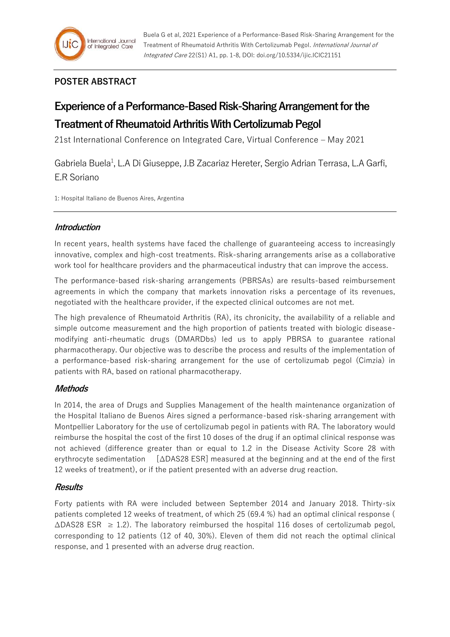## **POSTER ABSTRACT**

# **Experience of a Performance-Based Risk-Sharing Arrangement for the Treatment of Rheumatoid Arthritis With Certolizumab Pegol**

21st International Conference on Integrated Care, Virtual Conference – May 2021

Gabriela Buela<sup>1</sup>, L.A Di Giuseppe, J.B Zacariaz Hereter, Sergio Adrian Terrasa, L.A Garfi, E.R Soriano

1: Hospital Italiano de Buenos Aires, Argentina

## **Introduction**

In recent years, health systems have faced the challenge of guaranteeing access to increasingly innovative, complex and high-cost treatments. Risk-sharing arrangements arise as a collaborative work tool for healthcare providers and the pharmaceutical industry that can improve the access.

The performance-based risk-sharing arrangements (PBRSAs) are results-based reimbursement agreements in which the company that markets innovation risks a percentage of its revenues, negotiated with the healthcare provider, if the expected clinical outcomes are not met.

The high prevalence of Rheumatoid Arthritis (RA), its chronicity, the availability of a reliable and simple outcome measurement and the high proportion of patients treated with biologic diseasemodifying anti-rheumatic drugs (DMARDbs) led us to apply PBRSA to guarantee rational pharmacotherapy. Our objective was to describe the process and results of the implementation of a performance-based risk-sharing arrangement for the use of certolizumab pegol (Cimzia) in patients with RA, based on rational pharmacotherapy.

## **Methods**

In 2014, the area of Drugs and Supplies Management of the health maintenance organization of the Hospital Italiano de Buenos Aires signed a performance-based risk-sharing arrangement with Montpellier Laboratory for the use of certolizumab pegol in patients with RA. The laboratory would reimburse the hospital the cost of the first 10 doses of the drug if an optimal clinical response was not achieved (difference greater than or equal to 1.2 in the Disease Activity Score 28 with erythrocyte sedimentation [∆DAS28 ESR] measured at the beginning and at the end of the first 12 weeks of treatment), or if the patient presented with an adverse drug reaction.

## **Results**

Forty patients with RA were included between September 2014 and January 2018. Thirty-six patients completed 12 weeks of treatment, of which 25 (69.4 %) had an optimal clinical response ( ∆DAS28 ESR ≥ 1.2). The laboratory reimbursed the hospital 116 doses of certolizumab pegol, corresponding to 12 patients (12 of 40, 30%). Eleven of them did not reach the optimal clinical response, and 1 presented with an adverse drug reaction.